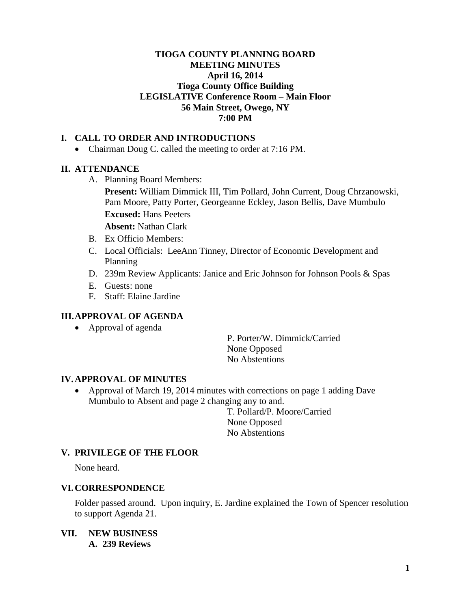## **TIOGA COUNTY PLANNING BOARD MEETING MINUTES April 16, 2014 Tioga County Office Building LEGISLATIVE Conference Room – Main Floor 56 Main Street, Owego, NY 7:00 PM**

## **I. CALL TO ORDER AND INTRODUCTIONS**

• Chairman Doug C. called the meeting to order at 7:16 PM.

## **II. ATTENDANCE**

A. Planning Board Members:

**Present:** William Dimmick III, Tim Pollard, John Current, Doug Chrzanowski, Pam Moore, Patty Porter, Georgeanne Eckley, Jason Bellis, Dave Mumbulo **Excused:** Hans Peeters

**Absent:** Nathan Clark

- B. Ex Officio Members:
- C. Local Officials: LeeAnn Tinney, Director of Economic Development and Planning
- D. 239m Review Applicants: Janice and Eric Johnson for Johnson Pools & Spas
- E. Guests: none
- F. Staff: Elaine Jardine

## **III.APPROVAL OF AGENDA**

• Approval of agenda

P. Porter/W. Dimmick/Carried None Opposed No Abstentions

#### **IV.APPROVAL OF MINUTES**

• Approval of March 19, 2014 minutes with corrections on page 1 adding Dave Mumbulo to Absent and page 2 changing any to and.

> T. Pollard/P. Moore/Carried None Opposed No Abstentions

## **V. PRIVILEGE OF THE FLOOR**

None heard.

#### **VI.CORRESPONDENCE**

Folder passed around. Upon inquiry, E. Jardine explained the Town of Spencer resolution to support Agenda 21.

**VII. NEW BUSINESS A. 239 Reviews**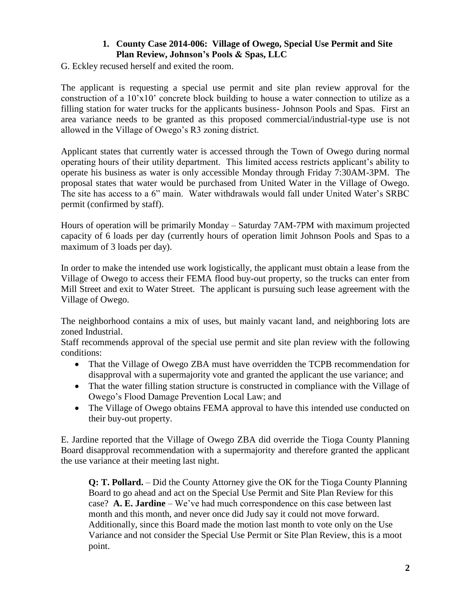# **1. County Case 2014-006: Village of Owego, Special Use Permit and Site Plan Review, Johnson's Pools & Spas, LLC**

G. Eckley recused herself and exited the room.

The applicant is requesting a special use permit and site plan review approval for the construction of a  $10'x10'$  concrete block building to house a water connection to utilize as a filling station for water trucks for the applicants business- Johnson Pools and Spas. First an area variance needs to be granted as this proposed commercial/industrial-type use is not allowed in the Village of Owego's R3 zoning district.

Applicant states that currently water is accessed through the Town of Owego during normal operating hours of their utility department. This limited access restricts applicant's ability to operate his business as water is only accessible Monday through Friday 7:30AM-3PM. The proposal states that water would be purchased from United Water in the Village of Owego. The site has access to a 6" main. Water withdrawals would fall under United Water's SRBC permit (confirmed by staff).

Hours of operation will be primarily Monday – Saturday 7AM-7PM with maximum projected capacity of 6 loads per day (currently hours of operation limit Johnson Pools and Spas to a maximum of 3 loads per day).

In order to make the intended use work logistically, the applicant must obtain a lease from the Village of Owego to access their FEMA flood buy-out property, so the trucks can enter from Mill Street and exit to Water Street. The applicant is pursuing such lease agreement with the Village of Owego.

The neighborhood contains a mix of uses, but mainly vacant land, and neighboring lots are zoned Industrial.

Staff recommends approval of the special use permit and site plan review with the following conditions:

- That the Village of Owego ZBA must have overridden the TCPB recommendation for disapproval with a supermajority vote and granted the applicant the use variance; and
- That the water filling station structure is constructed in compliance with the Village of Owego's Flood Damage Prevention Local Law; and
- The Village of Owego obtains FEMA approval to have this intended use conducted on their buy-out property.

E. Jardine reported that the Village of Owego ZBA did override the Tioga County Planning Board disapproval recommendation with a supermajority and therefore granted the applicant the use variance at their meeting last night.

**Q: T. Pollard.** – Did the County Attorney give the OK for the Tioga County Planning Board to go ahead and act on the Special Use Permit and Site Plan Review for this case? **A. E. Jardine** – We've had much correspondence on this case between last month and this month, and never once did Judy say it could not move forward. Additionally, since this Board made the motion last month to vote only on the Use Variance and not consider the Special Use Permit or Site Plan Review, this is a moot point.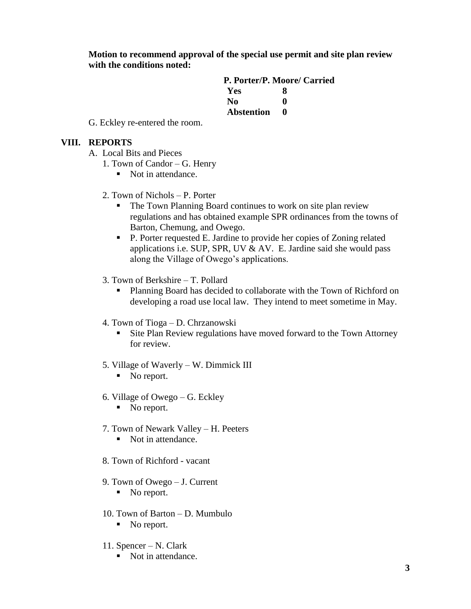**Motion to recommend approval of the special use permit and site plan review with the conditions noted:**

|                   | P. Porter/P. Moore/ Carried |
|-------------------|-----------------------------|
| Yes               | x                           |
| No.               | 0                           |
| <b>Abstention</b> | O                           |

G. Eckley re-entered the room.

### **VIII. REPORTS**

- A. Local Bits and Pieces
	- 1. Town of Candor G. Henry
		- Not in attendance.
	- 2. Town of Nichols P. Porter
		- The Town Planning Board continues to work on site plan review regulations and has obtained example SPR ordinances from the towns of Barton, Chemung, and Owego.
		- P. Porter requested E. Jardine to provide her copies of Zoning related applications i.e. SUP, SPR, UV  $&$  AV. E. Jardine said she would pass along the Village of Owego's applications.
	- 3. Town of Berkshire T. Pollard
		- **Planning Board has decided to collaborate with the Town of Richford on** developing a road use local law. They intend to meet sometime in May.
	- 4. Town of Tioga D. Chrzanowski
		- **Site Plan Review regulations have moved forward to the Town Attorney** for review.
	- 5. Village of Waverly W. Dimmick III
		- No report.
	- 6. Village of Owego G. Eckley
		- No report.
	- 7. Town of Newark Valley H. Peeters
		- Not in attendance.
	- 8. Town of Richford vacant
	- 9. Town of Owego J. Current
		- No report.
	- 10. Town of Barton D. Mumbulo
		- No report.
	- 11. Spencer N. Clark
		- Not in attendance.